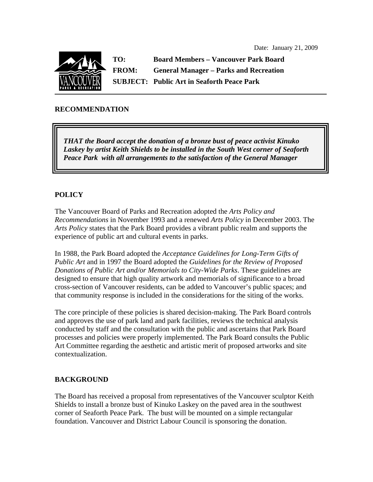

**TO: Board Members – Vancouver Park Board FROM: General Manager – Parks and Recreation SUBJECT: Public Art in Seaforth Peace Park** 

### **RECOMMENDATION**

*THAT the Board accept the donation of a bronze bust of peace activist Kinuko Laskey by artist Keith Shields to be installed in the South West corner of Seaforth Peace Park with all arrangements to the satisfaction of the General Manager* 

### **POLICY**

The Vancouver Board of Parks and Recreation adopted the *Arts Policy and Recommendations* in November 1993 and a renewed *Arts Policy* in December 2003. The *Arts Policy* states that the Park Board provides a vibrant public realm and supports the experience of public art and cultural events in parks.

In 1988, the Park Board adopted the *Acceptance Guidelines for Long-Term Gifts of Public Art* and in 1997 the Board adopted the *Guidelines for the Review of Proposed Donations of Public Art and/or Memorials to City-Wide Parks*. These guidelines are designed to ensure that high quality artwork and memorials of significance to a broad cross-section of Vancouver residents, can be added to Vancouver's public spaces; and that community response is included in the considerations for the siting of the works.

The core principle of these policies is shared decision-making. The Park Board controls and approves the use of park land and park facilities, reviews the technical analysis conducted by staff and the consultation with the public and ascertains that Park Board processes and policies were properly implemented. The Park Board consults the Public Art Committee regarding the aesthetic and artistic merit of proposed artworks and site contextualization.

### **BACKGROUND**

The Board has received a proposal from representatives of the Vancouver sculptor Keith Shields to install a bronze bust of Kinuko Laskey on the paved area in the southwest corner of Seaforth Peace Park. The bust will be mounted on a simple rectangular foundation. Vancouver and District Labour Council is sponsoring the donation.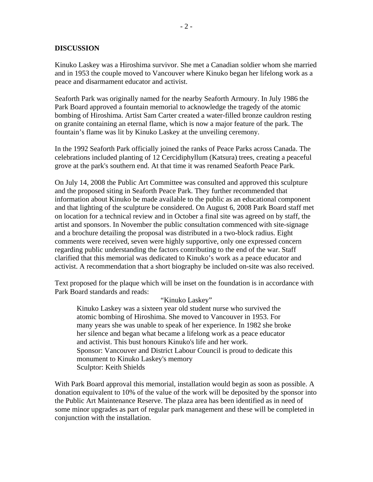### **DISCUSSION**

Kinuko Laskey was a Hiroshima survivor. She met a Canadian soldier whom she married and in 1953 the couple moved to Vancouver where Kinuko began her lifelong work as a peace and disarmament educator and activist.

Seaforth Park was originally named for the nearby Seaforth Armoury. In July 1986 the Park Board approved a fountain memorial to acknowledge the tragedy of the atomic bombing of Hiroshima. Artist Sam Carter created a water-filled bronze cauldron resting on granite containing an eternal flame, which is now a major feature of the park. The fountain's flame was lit by Kinuko Laskey at the unveiling ceremony.

In the 1992 Seaforth Park officially joined the ranks of Peace Parks across Canada. The celebrations included planting of 12 Cercidiphyllum (Katsura) trees, creating a peaceful grove at the park's southern end. At that time it was renamed Seaforth Peace Park.

On July 14, 2008 the Public Art Committee was consulted and approved this sculpture and the proposed siting in Seaforth Peace Park. They further recommended that information about Kinuko be made available to the public as an educational component and that lighting of the sculpture be considered. On August 6, 2008 Park Board staff met on location for a technical review and in October a final site was agreed on by staff, the artist and sponsors. In November the public consultation commenced with site-signage and a brochure detailing the proposal was distributed in a two-block radius. Eight comments were received, seven were highly supportive, only one expressed concern regarding public understanding the factors contributing to the end of the war. Staff clarified that this memorial was dedicated to Kinuko's work as a peace educator and activist. A recommendation that a short biography be included on-site was also received.

Text proposed for the plaque which will be inset on the foundation is in accordance with Park Board standards and reads:

#### "Kinuko Laskey"

Kinuko Laskey was a sixteen year old student nurse who survived the atomic bombing of Hiroshima. She moved to Vancouver in 1953. For many years she was unable to speak of her experience. In 1982 she broke her silence and began what became a lifelong work as a peace educator and activist. This bust honours Kinuko's life and her work. Sponsor: Vancouver and District Labour Council is proud to dedicate this monument to Kinuko Laskey's memory Sculptor: Keith Shields

With Park Board approval this memorial, installation would begin as soon as possible. A donation equivalent to 10% of the value of the work will be deposited by the sponsor into the Public Art Maintenance Reserve. The plaza area has been identified as in need of some minor upgrades as part of regular park management and these will be completed in conjunction with the installation.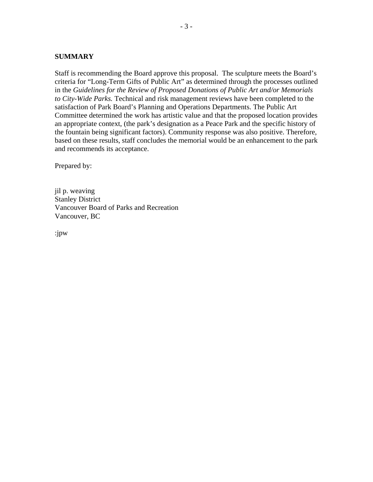#### **SUMMARY**

Staff is recommending the Board approve this proposal. The sculpture meets the Board's criteria for "Long-Term Gifts of Public Art" as determined through the processes outlined in the *Guidelines for the Review of Proposed Donations of Public Art and/or Memorials to City-Wide Parks.* Technical and risk management reviews have been completed to the satisfaction of Park Board's Planning and Operations Departments. The Public Art Committee determined the work has artistic value and that the proposed location provides an appropriate context, (the park's designation as a Peace Park and the specific history of the fountain being significant factors). Community response was also positive. Therefore, based on these results, staff concludes the memorial would be an enhancement to the park and recommends its acceptance.

Prepared by:

jil p. weaving Stanley District Vancouver Board of Parks and Recreation Vancouver, BC

:jpw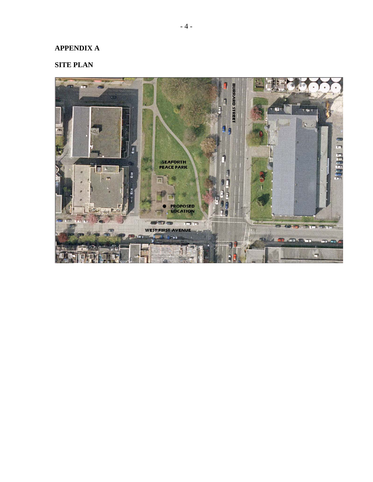# **APPENDIX A**

## **SITE PLAN**